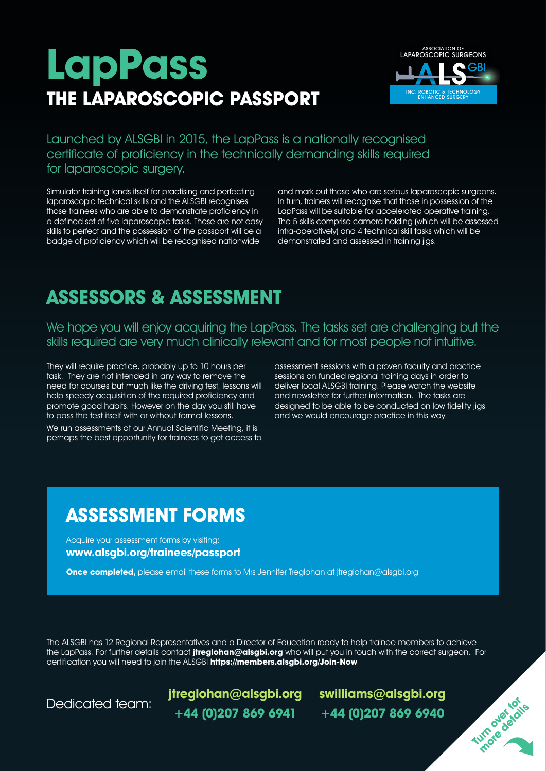# **LapPass THE LAPAROSCOPIC PASSPORT**



Launched by ALSGBI in 2015, the LapPass is a nationally recognised certificate of proficiency in the technically demanding skills required for laparoscopic surgery.

Simulator training lends itself for practising and perfecting laparoscopic technical skills and the ALSGBI recognises those trainees who are able to demonstrate proficiency in a defined set of five laparoscopic tasks. These are not easy skills to perfect and the possession of the passport will be a badge of proficiency which will be recognised nationwide

and mark out those who are serious laparoscopic surgeons. In turn, trainers will recognise that those in possession of the LapPass will be suitable for accelerated operative training. The 5 skills comprise camera holding (which will be assessed intra-operatively) and 4 technical skill tasks which will be demonstrated and assessed in training jigs.

## **ASSESSORS & ASSESSMENT**

We hope you will enjoy acquiring the LapPass. The tasks set are challenging but the skills required are very much clinically relevant and for most people not intuitive.

They will require practice, probably up to 10 hours per task. They are not intended in any way to remove the need for courses but much like the driving test, lessons will help speedy acquisition of the required proficiency and promote good habits. However on the day you still have to pass the test itself with or without formal lessons.

We run assessments at our Annual Scientific Meeting, it is perhaps the best opportunity for trainees to get access to assessment sessions with a proven faculty and practice sessions on funded regional training days in order to deliver local ALSGBI training. Please watch the website and newsletter for further information. The tasks are designed to be able to be conducted on low fidelity jigs and we would encourage practice in this way.

### **ASSESSMENT FORMS**

Acquire your assessment forms by visiting: **www.alsgbi.org/trainees/passport**

**Once completed,** please email these forms to Mrs Jennifer Treglohan at jtreglohan@alsgbi.org

The ALSGBI has 12 Regional Representatives and a Director of Education ready to help trainee members to achieve the LapPass. For further details contact **jtreglohan@alsgbi.org** who will put you in touch with the correct surgeon. For certification you will need to join the ALSGBI **https://members.alsgbi.org/Join-Now**

Dedicated team: **jtreglohan@alsgbi.org swilliams@alsgbi.org +44 (0)207 869 6941 +44 (0)207 869 6940**

**Turn over for more details**